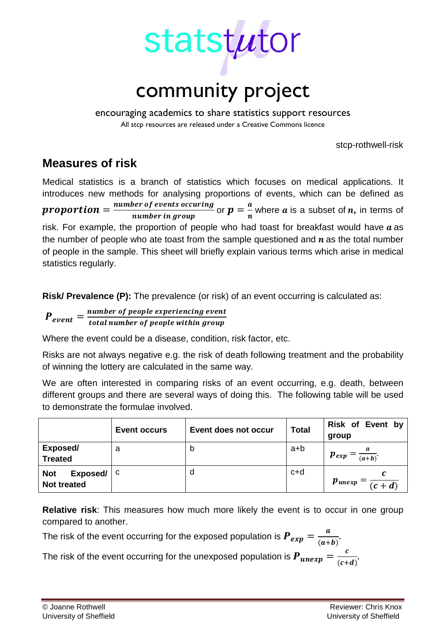

encouraging academics to share statistics support resources All stcp resources are released under a Creative Commons licence

stcp-rothwell-risk

# **Measures of risk**

Medical statistics is a branch of statistics which focuses on medical applications. It introduces new methods for analysing proportions of events, which can be defined as **proportion** =  $\frac{number\ of\ events\ occurring}{number\ in\ group}$  or  $p = \frac{a}{n}$  where  $a$  is a subset of  $n$ , in terms of risk. For example, the proportion of people who had toast for breakfast would have  $a$  as the number of people who ate toast from the sample questioned and  $n$  as the total number of people in the sample. This sheet will briefly explain various terms which arise in medical statistics regularly.

**Risk/ Prevalence (P):** The prevalence (or risk) of an event occurring is calculated as:

 $\boldsymbol{P_{event}} = \frac{number\ of\ people\ experienced\ ov}{total\ number\ of\ people\ within\ gro}$ 

Where the event could be a disease, condition, risk factor, etc.

Risks are not always negative e.g. the risk of death following treatment and the probability of winning the lottery are calculated in the same way.

We are often interested in comparing risks of an event occurring, e.g. death, between different groups and there are several ways of doing this. The following table will be used to demonstrate the formulae involved.

|                                              | <b>Event occurs</b> | Event does not occur | <b>Total</b> | Risk of Event by<br>group                    |
|----------------------------------------------|---------------------|----------------------|--------------|----------------------------------------------|
| Exposed/<br><b>Treated</b>                   | а                   | D                    | a+b          | $\boldsymbol{p}_{exp}$<br>$\overline{(a+b)}$ |
| Exposed/<br><b>Not</b><br><b>Not treated</b> | - C                 | d                    | c+d          | $p_{unexp}$<br>$\overline{c+d}$              |

**Relative risk**: This measures how much more likely the event is to occur in one group compared to another.

The risk of the event occurring for the exposed population is  $\bm{P}_{exp} = \frac{a}{(a+b)}$ .

The risk of the event occurring for the unexposed population is  $\bm{P_{unexp}} = \frac{1}{(c+d)}$ .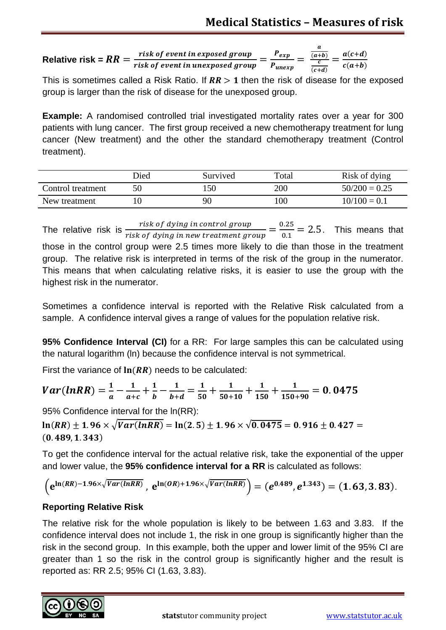Relative risk =  $RR = \frac{risk\,of\,event\,in\,exposed\,group}{risk\,of\,event\,in\,unexposed\,group} = \frac{P_{exp}}{P_{unexp}} =$  $\overline{a}$  $(a + b)$  $(c+d)$  $=\frac{a(c+d)}{c(a+b)}$ 

This is sometimes called a Risk Ratio. If  $RR > 1$  then the risk of disease for the exposed group is larger than the risk of disease for the unexposed group.

**Example:** A randomised controlled trial investigated mortality rates over a year for 300 patients with lung cancer. The first group received a new chemotherapy treatment for lung cancer (New treatment) and the other the standard chemotherapy treatment (Control treatment).

|                   | Died | Survived | Total         | Risk of dying   |
|-------------------|------|----------|---------------|-----------------|
| Control treatment | 50   | 50       | 200           | $50/200 = 0.25$ |
| New treatment     | I O  | 90       | $100^{\circ}$ | $10/100 = 0.1$  |

The relative risk is  $\frac{risk\,of\;dying\;in\;countrol\;group}{risk\;of\;dying\;in\;new\;treatment\;group} = \frac{0.25}{0.1} = 2.5$ . This means that those in the control group were 2.5 times more likely to die than those in the treatment group. The relative risk is interpreted in terms of the risk of the group in the numerator. This means that when calculating relative risks, it is easier to use the group with the highest risk in the numerator.

Sometimes a confidence interval is reported with the Relative Risk calculated from a sample. A confidence interval gives a range of values for the population relative risk.

**95% Confidence Interval (CI)** for a RR: For large samples this can be calculated using the natural logarithm (ln) because the confidence interval is not symmetrical.

First the variance of  $ln(RR)$  needs to be calculated:

$$
Var(lnRR) = \frac{1}{a} - \frac{1}{a+c} + \frac{1}{b} - \frac{1}{b+d} = \frac{1}{50} + \frac{1}{50+10} + \frac{1}{150} + \frac{1}{150+90} = 0.0475
$$

95% Confidence interval for the ln(RR):

 $\ln(RR) \pm 1.96 \times \sqrt{Var(lnRR)} = \ln(2.5) \pm 1.96 \times \sqrt{0.0475} = 0.916 \pm 0.427 =$  $(0.489, 1.343)$ 

To get the confidence interval for the actual relative risk, take the exponential of the upper and lower value, the **95% confidence interval for a RR** is calculated as follows:

$$
\left(e^{\ln(RR)-1.96\times\sqrt{Var(lnRR)}}\,,\ e^{\ln(0R)+1.96\times\sqrt{Var(lnRR)}}\right)=(e^{0.489},e^{1.343})=(1.63,3.83).
$$

# **Reporting Relative Risk**

The relative risk for the whole population is likely to be between 1.63 and 3.83. If the confidence interval does not include 1, the risk in one group is significantly higher than the risk in the second group. In this example, both the upper and lower limit of the 95% CI are greater than 1 so the risk in the control group is significantly higher and the result is reported as: RR 2.5; 95% CI (1.63, 3.83).

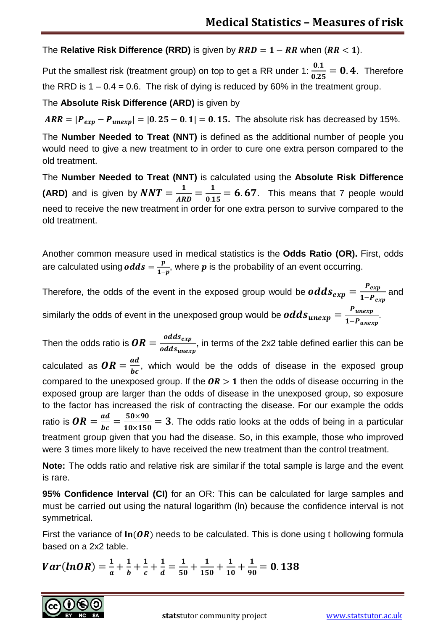The **Relative Risk Difference (RRD)** is given by  $RRD = 1 - RR$  when  $(RR < 1)$ .

Put the smallest risk (treatment group) on top to get a RR under 1:  $\frac{0.1}{0.25} = 0.4$ . Therefore the RRD is  $1 - 0.4 = 0.6$ . The risk of dying is reduced by 60% in the treatment group.

The **Absolute Risk Difference (ARD)** is given by

 $ARR = |P_{exp} - P_{unexp}| = |0.25 - 0.1| = 0.15$ . The absolute risk has decreased by 15%.

The **Number Needed to Treat (NNT)** is defined as the additional number of people you would need to give a new treatment to in order to cure one extra person compared to the old treatment.

The **Number Needed to Treat (NNT)** is calculated using the **Absolute Risk Difference (ARD)** and is given by  $NNT = \frac{1}{ARD} = \frac{1}{0.15} = 6.67$ . This means that 7 people would need to receive the new treatment in order for one extra person to survive compared to the old treatment.

Another common measure used in medical statistics is the **Odds Ratio (OR).** First, odds are calculated using  $odds = \frac{p}{1-p}$ , where  $p$  is the probability of an event occurring.

Therefore, the odds of the event in the exposed group would be  $odds_{exp} = \frac{P_{exp}}{1-P_{ex}}$ and similarly the odds of event in the unexposed group would be  $odds_{unexp} = \frac{P_{unexp}}{1-P_{unexp}}$ .

Then the odds ratio is  $\boldsymbol{OR} = \frac{odds_{exp}}{odds_{unern}}$ , in terms of the 2x2 table defined earlier this can be calculated as  $OR = \frac{ad}{bc}$ , which would be the odds of disease in the exposed group compared to the unexposed group. If the  $OR > 1$  then the odds of disease occurring in the exposed group are larger than the odds of disease in the unexposed group, so exposure to the factor has increased the risk of contracting the disease. For our example the odds ratio is  $OR = \frac{ad}{bc} = \frac{50 \times 90}{10 \times 150} = 3$ . The odds ratio looks at the odds of being in a particular treatment group given that you had the disease. So, in this example, those who improved were 3 times more likely to have received the new treatment than the control treatment.

**Note:** The odds ratio and relative risk are similar if the total sample is large and the event is rare.

**95% Confidence Interval (CI)** for an OR: This can be calculated for large samples and must be carried out using the natural logarithm (ln) because the confidence interval is not symmetrical.

First the variance of  $\ln(OR)$  needs to be calculated. This is done using t hollowing formula based on a 2x2 table.

$$
Var(lnOR) = \frac{1}{a} + \frac{1}{b} + \frac{1}{c} + \frac{1}{d} = \frac{1}{50} + \frac{1}{150} + \frac{1}{10} + \frac{1}{90} = 0.138
$$